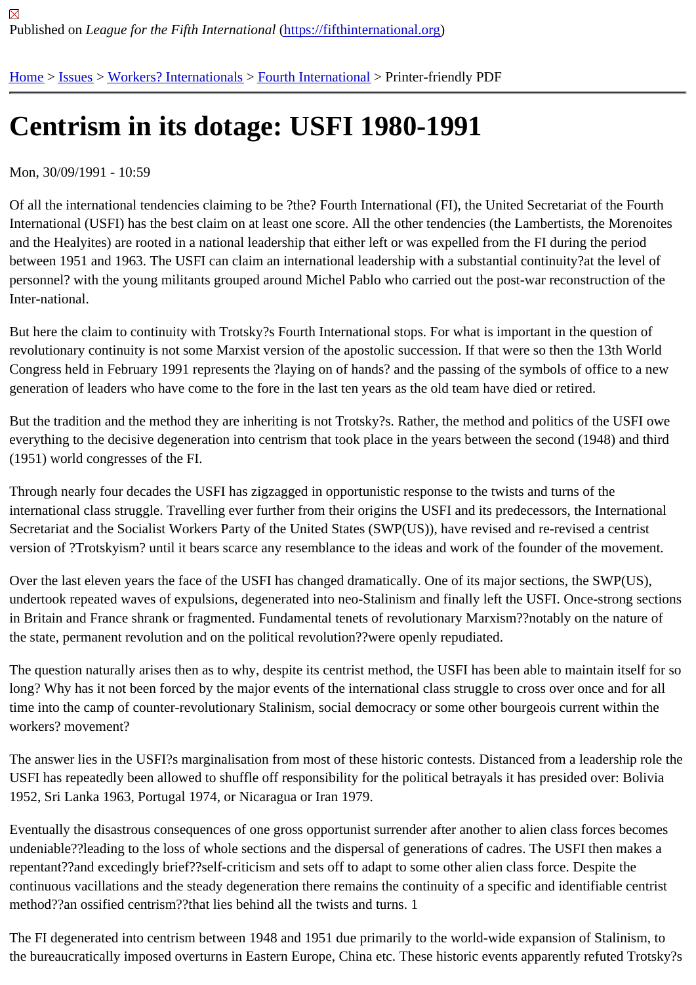# [Ce](https://fifthinternational.org/)[ntris](https://fifthinternational.org/category/7)[m in its dota](https://fifthinternational.org/category/7/459)[ge: USFI 1](https://fifthinternational.org/category/7/459/463)980-1991

#### Mon, 30/09/1991 - 10:59

Of all the international tendencies claiming to be ?the? Fourth International (FI), the United Secretariat of the Four International (USFI) has the best claim on at least one score. All the other tendencies (the Lambertists, the Moreno and the Healyites) are rooted in a national leadership that either left or was expelled from the FI during the period between 1951 and 1963. The USFI can claim an international leadership with a substantial continuity?at the level personnel? with the young militants grouped around Michel Pablo who carried out the post-war reconstruction of th Inter-national.

But here the claim to continuity with Trotsky?s Fourth International stops. For what is important in the question of revolutionary continuity is not some Marxist version of the apostolic succession. If that were so then the 13th World Congress held in February 1991 represents the ?laying on of hands? and the passing of the symbols of office to a new generation of leaders who have come to the fore in the last ten years as the old team have died or retired.

But the tradition and the method they are inheriting is not Trotsky?s. Rather, the method and politics of the USFI o everything to the decisive degeneration into centrism that took place in the years between the second (1948) and t (1951) world congresses of the FI.

Through nearly four decades the USFI has zigzagged in opportunistic response to the twists and turns of the international class struggle. Travelling ever further from their origins the USFI and its predecessors, the Internatior Secretariat and the Socialist Workers Party of the United States (SWP(US)), have revised and re-revised a centris version of ?Trotskyism? until it bears scarce any resemblance to the ideas and work of the founder of the moveme

Over the last eleven years the face of the USFI has changed dramatically. One of its major sections, the SWP(US), undertook repeated waves of expulsions, degenerated into neo-Stalinism and finally left the USFI. Once-strong se in Britain and France shrank or fragmented. Fundamental tenets of revolutionary Marxism??notably on the nature the state, permanent revolution and on the political revolution??were openly repudiated.

The question naturally arises then as to why, despite its centrist method, the USFI has been able to maintain itself long? Why has it not been forced by the major events of the international class struggle to cross over once and for time into the camp of counter-revolutionary Stalinism, social democracy or some other bourgeois current within the workers? movement?

The answer lies in the USFI?s marginalisation from most of these historic contests. Distanced from a leadership ro USFI has repeatedly been allowed to shuffle off responsibility for the political betrayals it has presided over: Bolivia 1952, Sri Lanka 1963, Portugal 1974, or Nicaragua or Iran 1979.

Eventually the disastrous consequences of one gross opportunist surrender after another to alien class forces bec undeniable??leading to the loss of whole sections and the dispersal of generations of cadres. The USFI then make repentant??and excedingly brief??self-criticism and sets off to adapt to some other alien class force. Despite the continuous vacillations and the steady degeneration there remains the continuity of a specific and identifiable cent method??an ossified centrism??that lies behind all the twists and turns. 1

The FI degenerated into centrism between 1948 and 1951 due primarily to the world-wide expansion of Stalinism, the bureaucratically imposed overturns in Eastern Europe, China etc. These historic events apparently refuted Tro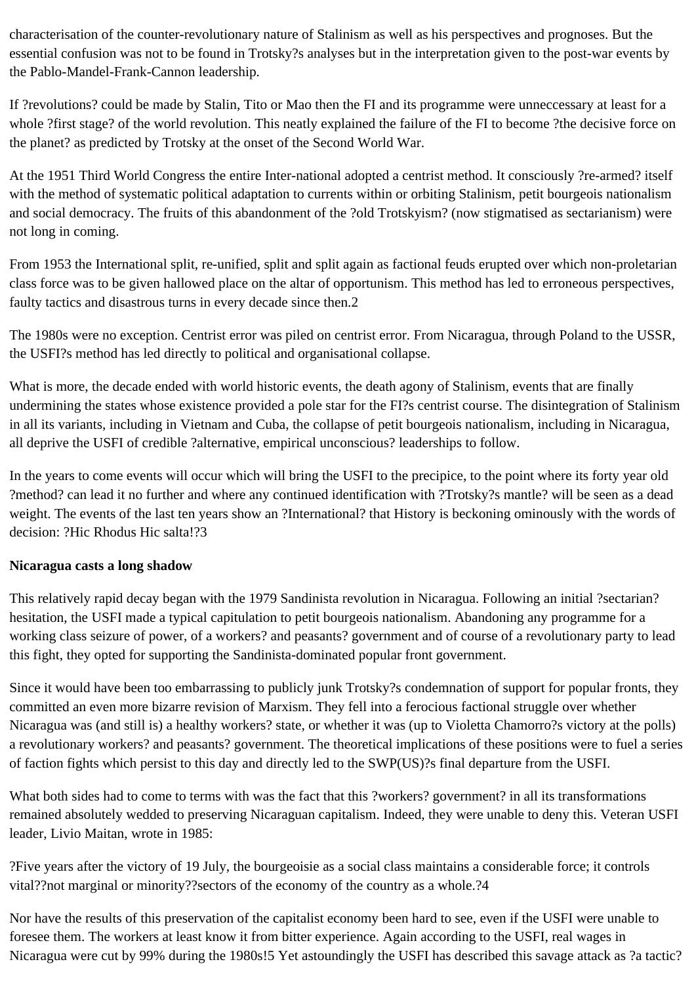characterisation of the counter-revolutionary nature of Stalinism as well as his perspectives and prognoses. But the essential confusion was not to be found in Trotsky?s analyses but in the interpretation given to the post-war events by the Pablo-Mandel-Frank-Cannon leadership.

If ?revolutions? could be made by Stalin, Tito or Mao then the FI and its programme were unneccessary at least for a whole ?first stage? of the world revolution. This neatly explained the failure of the FI to become ?the decisive force on the planet? as predicted by Trotsky at the onset of the Second World War.

At the 1951 Third World Congress the entire Inter-national adopted a centrist method. It consciously ?re-armed? itself with the method of systematic political adaptation to currents within or orbiting Stalinism, petit bourgeois nationalism and social democracy. The fruits of this abandonment of the ?old Trotskyism? (now stigmatised as sectarianism) were not long in coming.

From 1953 the International split, re-unified, split and split again as factional feuds erupted over which non-proletarian class force was to be given hallowed place on the altar of opportunism. This method has led to erroneous perspectives, faulty tactics and disastrous turns in every decade since then.2

The 1980s were no exception. Centrist error was piled on centrist error. From Nicaragua, through Poland to the USSR, the USFI?s method has led directly to political and organisational collapse.

What is more, the decade ended with world historic events, the death agony of Stalinism, events that are finally undermining the states whose existence provided a pole star for the FI?s centrist course. The disintegration of Stalinism in all its variants, including in Vietnam and Cuba, the collapse of petit bourgeois nationalism, including in Nicaragua, all deprive the USFI of credible ?alternative, empirical unconscious? leaderships to follow.

In the years to come events will occur which will bring the USFI to the precipice, to the point where its forty year old ?method? can lead it no further and where any continued identification with ?Trotsky?s mantle? will be seen as a dead weight. The events of the last ten years show an ?International? that History is beckoning ominously with the words of decision: ?Hic Rhodus Hic salta!?3

### **Nicaragua casts a long shadow**

This relatively rapid decay began with the 1979 Sandinista revolution in Nicaragua. Following an initial ?sectarian? hesitation, the USFI made a typical capitulation to petit bourgeois nationalism. Abandoning any programme for a working class seizure of power, of a workers? and peasants? government and of course of a revolutionary party to lead this fight, they opted for supporting the Sandinista-dominated popular front government.

Since it would have been too embarrassing to publicly junk Trotsky?s condemnation of support for popular fronts, they committed an even more bizarre revision of Marxism. They fell into a ferocious factional struggle over whether Nicaragua was (and still is) a healthy workers? state, or whether it was (up to Violetta Chamorro?s victory at the polls) a revolutionary workers? and peasants? government. The theoretical implications of these positions were to fuel a series of faction fights which persist to this day and directly led to the SWP(US)?s final departure from the USFI.

What both sides had to come to terms with was the fact that this ?workers? government? in all its transformations remained absolutely wedded to preserving Nicaraguan capitalism. Indeed, they were unable to deny this. Veteran USFI leader, Livio Maitan, wrote in 1985:

?Five years after the victory of 19 July, the bourgeoisie as a social class maintains a considerable force; it controls vital??not marginal or minority??sectors of the economy of the country as a whole.?4

Nor have the results of this preservation of the capitalist economy been hard to see, even if the USFI were unable to foresee them. The workers at least know it from bitter experience. Again according to the USFI, real wages in Nicaragua were cut by 99% during the 1980s!5 Yet astoundingly the USFI has described this savage attack as ?a tactic?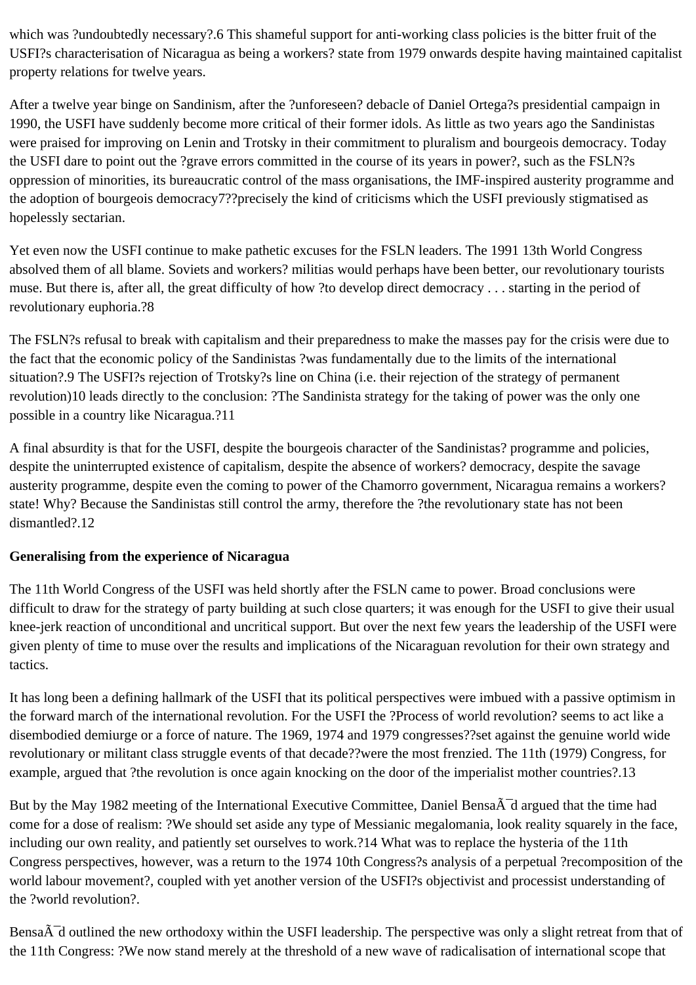which was ?undoubtedly necessary?.6 This shameful support for anti-working class policies is the bitter fruit of the USFI?s characterisation of Nicaragua as being a workers? state from 1979 onwards despite having maintained capitalist property relations for twelve years.

After a twelve year binge on Sandinism, after the ?unforeseen? debacle of Daniel Ortega?s presidential campaign in 1990, the USFI have suddenly become more critical of their former idols. As little as two years ago the Sandinistas were praised for improving on Lenin and Trotsky in their commitment to pluralism and bourgeois democracy. Today the USFI dare to point out the ?grave errors committed in the course of its years in power?, such as the FSLN?s oppression of minorities, its bureaucratic control of the mass organisations, the IMF-inspired austerity programme and the adoption of bourgeois democracy7??precisely the kind of criticisms which the USFI previously stigmatised as hopelessly sectarian.

Yet even now the USFI continue to make pathetic excuses for the FSLN leaders. The 1991 13th World Congress absolved them of all blame. Soviets and workers? militias would perhaps have been better, our revolutionary tourists muse. But there is, after all, the great difficulty of how ?to develop direct democracy . . . starting in the period of revolutionary euphoria.?8

The FSLN?s refusal to break with capitalism and their preparedness to make the masses pay for the crisis were due to the fact that the economic policy of the Sandinistas ?was fundamentally due to the limits of the international situation?.9 The USFI?s rejection of Trotsky?s line on China (i.e. their rejection of the strategy of permanent revolution)10 leads directly to the conclusion: ?The Sandinista strategy for the taking of power was the only one possible in a country like Nicaragua.?11

A final absurdity is that for the USFI, despite the bourgeois character of the Sandinistas? programme and policies, despite the uninterrupted existence of capitalism, despite the absence of workers? democracy, despite the savage austerity programme, despite even the coming to power of the Chamorro government, Nicaragua remains a workers? state! Why? Because the Sandinistas still control the army, therefore the ?the revolutionary state has not been dismantled?.12

# **Generalising from the experience of Nicaragua**

The 11th World Congress of the USFI was held shortly after the FSLN came to power. Broad conclusions were difficult to draw for the strategy of party building at such close quarters; it was enough for the USFI to give their usual knee-jerk reaction of unconditional and uncritical support. But over the next few years the leadership of the USFI were given plenty of time to muse over the results and implications of the Nicaraguan revolution for their own strategy and tactics.

It has long been a defining hallmark of the USFI that its political perspectives were imbued with a passive optimism in the forward march of the international revolution. For the USFI the ?Process of world revolution? seems to act like a disembodied demiurge or a force of nature. The 1969, 1974 and 1979 congresses??set against the genuine world wide revolutionary or militant class struggle events of that decade??were the most frenzied. The 11th (1979) Congress, for example, argued that ?the revolution is once again knocking on the door of the imperialist mother countries?.13

But by the May 1982 meeting of the International Executive Committee, Daniel Bensa $\tilde{A}^-$ d argued that the time had come for a dose of realism: ?We should set aside any type of Messianic megalomania, look reality squarely in the face, including our own reality, and patiently set ourselves to work.?14 What was to replace the hysteria of the 11th Congress perspectives, however, was a return to the 1974 10th Congress?s analysis of a perpetual ?recomposition of the world labour movement?, coupled with yet another version of the USFI?s objectivist and processist understanding of the ?world revolution?.

Bensa $\tilde{A}$ d outlined the new orthodoxy within the USFI leadership. The perspective was only a slight retreat from that of the 11th Congress: ?We now stand merely at the threshold of a new wave of radicalisation of international scope that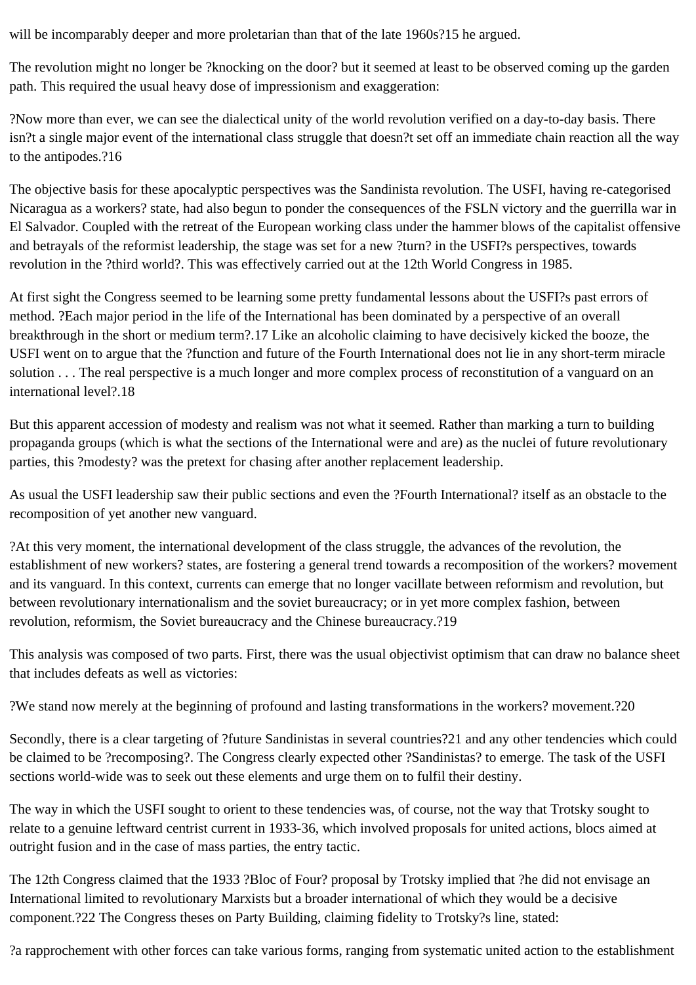will be incomparably deeper and more proletarian than that of the late 1960s?15 he argued.

The revolution might no longer be ?knocking on the door? but it seemed at least to be observed coming up the garden path. This required the usual heavy dose of impressionism and exaggeration:

?Now more than ever, we can see the dialectical unity of the world revolution verified on a day-to-day basis. There isn?t a single major event of the international class struggle that doesn?t set off an immediate chain reaction all the way to the antipodes.?16

The objective basis for these apocalyptic perspectives was the Sandinista revolution. The USFI, having re-categorised Nicaragua as a workers? state, had also begun to ponder the consequences of the FSLN victory and the guerrilla war in El Salvador. Coupled with the retreat of the European working class under the hammer blows of the capitalist offensive and betrayals of the reformist leadership, the stage was set for a new ?turn? in the USFI?s perspectives, towards revolution in the ?third world?. This was effectively carried out at the 12th World Congress in 1985.

At first sight the Congress seemed to be learning some pretty fundamental lessons about the USFI?s past errors of method. ?Each major period in the life of the International has been dominated by a perspective of an overall breakthrough in the short or medium term?.17 Like an alcoholic claiming to have decisively kicked the booze, the USFI went on to argue that the ?function and future of the Fourth International does not lie in any short-term miracle solution . . . The real perspective is a much longer and more complex process of reconstitution of a vanguard on an international level?.18

But this apparent accession of modesty and realism was not what it seemed. Rather than marking a turn to building propaganda groups (which is what the sections of the International were and are) as the nuclei of future revolutionary parties, this ?modesty? was the pretext for chasing after another replacement leadership.

As usual the USFI leadership saw their public sections and even the ?Fourth International? itself as an obstacle to the recomposition of yet another new vanguard.

?At this very moment, the international development of the class struggle, the advances of the revolution, the establishment of new workers? states, are fostering a general trend towards a recomposition of the workers? movement and its vanguard. In this context, currents can emerge that no longer vacillate between reformism and revolution, but between revolutionary internationalism and the soviet bureaucracy; or in yet more complex fashion, between revolution, reformism, the Soviet bureaucracy and the Chinese bureaucracy.?19

This analysis was composed of two parts. First, there was the usual objectivist optimism that can draw no balance sheet that includes defeats as well as victories:

?We stand now merely at the beginning of profound and lasting transformations in the workers? movement.?20

Secondly, there is a clear targeting of ?future Sandinistas in several countries?21 and any other tendencies which could be claimed to be ?recomposing?. The Congress clearly expected other ?Sandinistas? to emerge. The task of the USFI sections world-wide was to seek out these elements and urge them on to fulfil their destiny.

The way in which the USFI sought to orient to these tendencies was, of course, not the way that Trotsky sought to relate to a genuine leftward centrist current in 1933-36, which involved proposals for united actions, blocs aimed at outright fusion and in the case of mass parties, the entry tactic.

The 12th Congress claimed that the 1933 ?Bloc of Four? proposal by Trotsky implied that ?he did not envisage an International limited to revolutionary Marxists but a broader international of which they would be a decisive component.?22 The Congress theses on Party Building, claiming fidelity to Trotsky?s line, stated:

?a rapprochement with other forces can take various forms, ranging from systematic united action to the establishment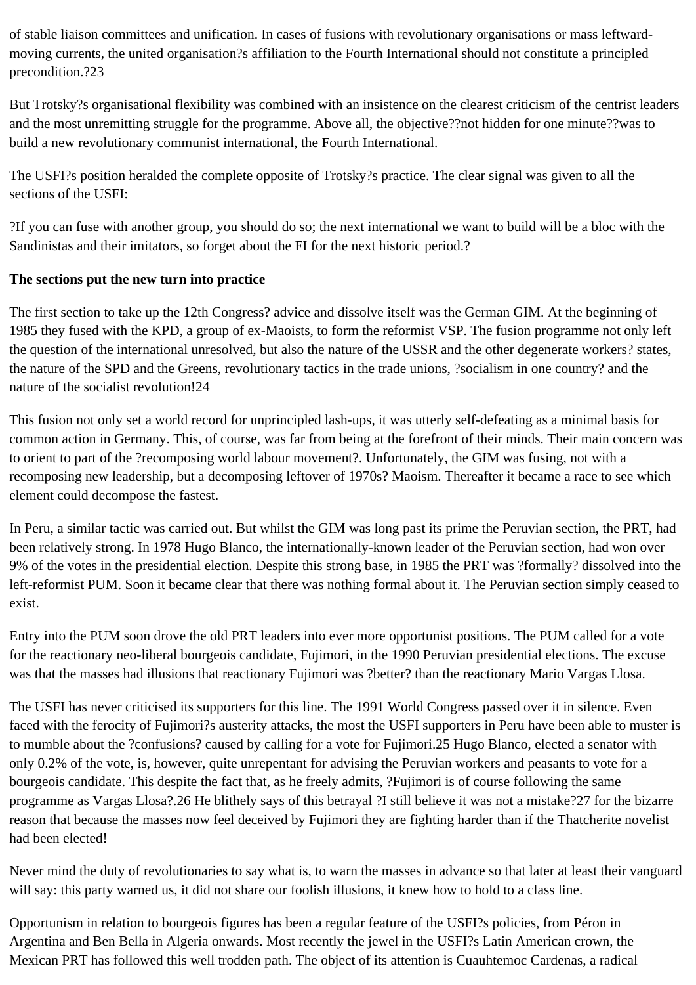of stable liaison committees and unification. In cases of fusions with revolutionary organisations or mass leftwardmoving currents, the united organisation?s affiliation to the Fourth International should not constitute a principled precondition.?23

But Trotsky?s organisational flexibility was combined with an insistence on the clearest criticism of the centrist leaders and the most unremitting struggle for the programme. Above all, the objective??not hidden for one minute??was to build a new revolutionary communist international, the Fourth International.

The USFI?s position heralded the complete opposite of Trotsky?s practice. The clear signal was given to all the sections of the USFI:

?If you can fuse with another group, you should do so; the next international we want to build will be a bloc with the Sandinistas and their imitators, so forget about the FI for the next historic period.?

# **The sections put the new turn into practice**

The first section to take up the 12th Congress? advice and dissolve itself was the German GIM. At the beginning of 1985 they fused with the KPD, a group of ex-Maoists, to form the reformist VSP. The fusion programme not only left the question of the international unresolved, but also the nature of the USSR and the other degenerate workers? states, the nature of the SPD and the Greens, revolutionary tactics in the trade unions, ?socialism in one country? and the nature of the socialist revolution!24

This fusion not only set a world record for unprincipled lash-ups, it was utterly self-defeating as a minimal basis for common action in Germany. This, of course, was far from being at the forefront of their minds. Their main concern was to orient to part of the ?recomposing world labour movement?. Unfortunately, the GIM was fusing, not with a recomposing new leadership, but a decomposing leftover of 1970s? Maoism. Thereafter it became a race to see which element could decompose the fastest.

In Peru, a similar tactic was carried out. But whilst the GIM was long past its prime the Peruvian section, the PRT, had been relatively strong. In 1978 Hugo Blanco, the internationally-known leader of the Peruvian section, had won over 9% of the votes in the presidential election. Despite this strong base, in 1985 the PRT was ?formally? dissolved into the left-reformist PUM. Soon it became clear that there was nothing formal about it. The Peruvian section simply ceased to exist.

Entry into the PUM soon drove the old PRT leaders into ever more opportunist positions. The PUM called for a vote for the reactionary neo-liberal bourgeois candidate, Fujimori, in the 1990 Peruvian presidential elections. The excuse was that the masses had illusions that reactionary Fujimori was ?better? than the reactionary Mario Vargas Llosa.

The USFI has never criticised its supporters for this line. The 1991 World Congress passed over it in silence. Even faced with the ferocity of Fujimori?s austerity attacks, the most the USFI supporters in Peru have been able to muster is to mumble about the ?confusions? caused by calling for a vote for Fujimori.25 Hugo Blanco, elected a senator with only 0.2% of the vote, is, however, quite unrepentant for advising the Peruvian workers and peasants to vote for a bourgeois candidate. This despite the fact that, as he freely admits, ?Fujimori is of course following the same programme as Vargas Llosa?.26 He blithely says of this betrayal ?I still believe it was not a mistake?27 for the bizarre reason that because the masses now feel deceived by Fujimori they are fighting harder than if the Thatcherite novelist had been elected!

Never mind the duty of revolutionaries to say what is, to warn the masses in advance so that later at least their vanguard will say: this party warned us, it did not share our foolish illusions, it knew how to hold to a class line.

Opportunism in relation to bourgeois figures has been a regular feature of the USFI?s policies, from Péron in Argentina and Ben Bella in Algeria onwards. Most recently the jewel in the USFI?s Latin American crown, the Mexican PRT has followed this well trodden path. The object of its attention is Cuauhtemoc Cardenas, a radical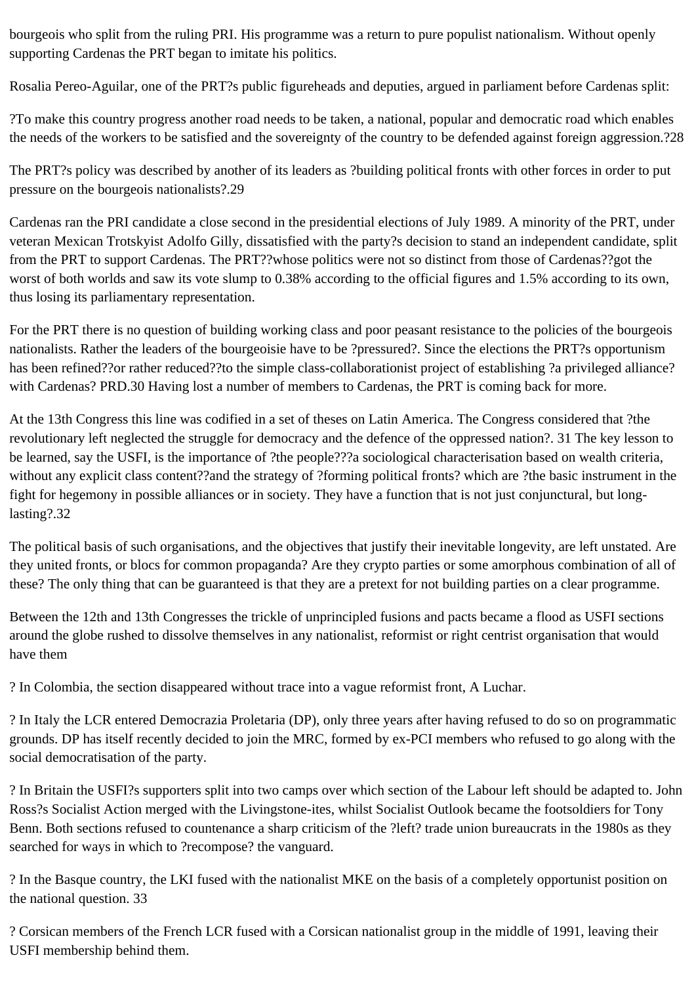bourgeois who split from the ruling PRI. His programme was a return to pure populist nationalism. Without openly supporting Cardenas the PRT began to imitate his politics.

Rosalia Pereo-Aguilar, one of the PRT?s public figureheads and deputies, argued in parliament before Cardenas split:

?To make this country progress another road needs to be taken, a national, popular and democratic road which enables the needs of the workers to be satisfied and the sovereignty of the country to be defended against foreign aggression.?28

The PRT?s policy was described by another of its leaders as ?building political fronts with other forces in order to put pressure on the bourgeois nationalists?.29

Cardenas ran the PRI candidate a close second in the presidential elections of July 1989. A minority of the PRT, under veteran Mexican Trotskyist Adolfo Gilly, dissatisfied with the party?s decision to stand an independent candidate, split from the PRT to support Cardenas. The PRT??whose politics were not so distinct from those of Cardenas??got the worst of both worlds and saw its vote slump to 0.38% according to the official figures and 1.5% according to its own, thus losing its parliamentary representation.

For the PRT there is no question of building working class and poor peasant resistance to the policies of the bourgeois nationalists. Rather the leaders of the bourgeoisie have to be ?pressured?. Since the elections the PRT?s opportunism has been refined??or rather reduced??to the simple class-collaborationist project of establishing ?a privileged alliance? with Cardenas? PRD.30 Having lost a number of members to Cardenas, the PRT is coming back for more.

At the 13th Congress this line was codified in a set of theses on Latin America. The Congress considered that ?the revolutionary left neglected the struggle for democracy and the defence of the oppressed nation?. 31 The key lesson to be learned, say the USFI, is the importance of ?the people???a sociological characterisation based on wealth criteria, without any explicit class content??and the strategy of ?forming political fronts? which are ?the basic instrument in the fight for hegemony in possible alliances or in society. They have a function that is not just conjunctural, but longlasting?.32

The political basis of such organisations, and the objectives that justify their inevitable longevity, are left unstated. Are they united fronts, or blocs for common propaganda? Are they crypto parties or some amorphous combination of all of these? The only thing that can be guaranteed is that they are a pretext for not building parties on a clear programme.

Between the 12th and 13th Congresses the trickle of unprincipled fusions and pacts became a flood as USFI sections around the globe rushed to dissolve themselves in any nationalist, reformist or right centrist organisation that would have them

? In Colombia, the section disappeared without trace into a vague reformist front, A Luchar.

? In Italy the LCR entered Democrazia Proletaria (DP), only three years after having refused to do so on programmatic grounds. DP has itself recently decided to join the MRC, formed by ex-PCI members who refused to go along with the social democratisation of the party.

? In Britain the USFI?s supporters split into two camps over which section of the Labour left should be adapted to. John Ross?s Socialist Action merged with the Livingstone-ites, whilst Socialist Outlook became the footsoldiers for Tony Benn. Both sections refused to countenance a sharp criticism of the ?left? trade union bureaucrats in the 1980s as they searched for ways in which to ?recompose? the vanguard.

? In the Basque country, the LKI fused with the nationalist MKE on the basis of a completely opportunist position on the national question. 33

? Corsican members of the French LCR fused with a Corsican nationalist group in the middle of 1991, leaving their USFI membership behind them.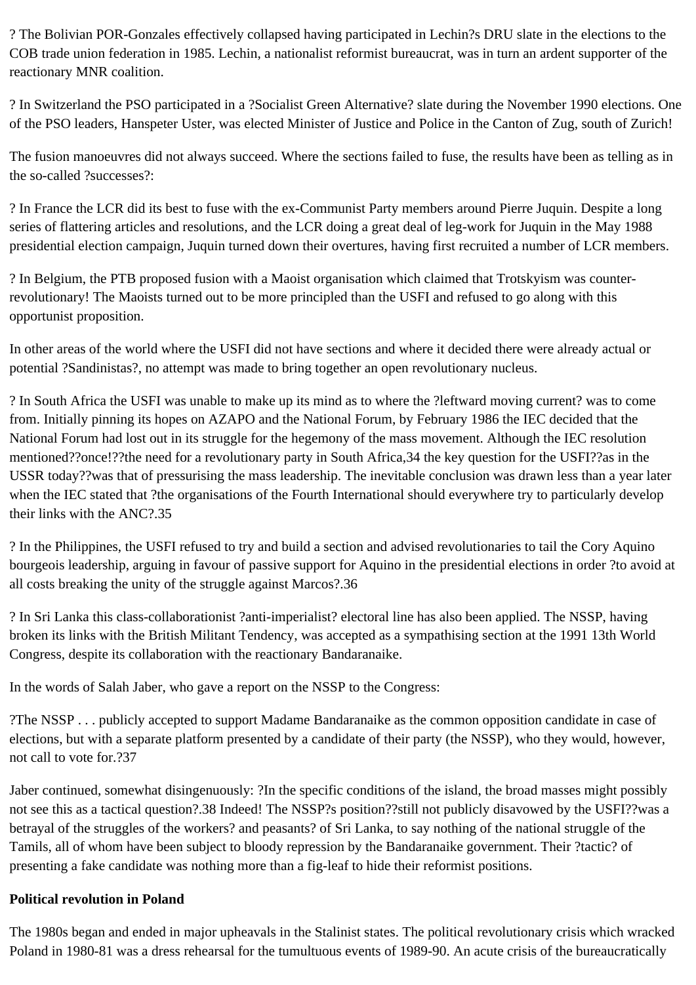? The Bolivian POR-Gonzales effectively collapsed having participated in Lechin?s DRU slate in the elections to the COB trade union federation in 1985. Lechin, a nationalist reformist bureaucrat, was in turn an ardent supporter of the reactionary MNR coalition.

? In Switzerland the PSO participated in a ?Socialist Green Alternative? slate during the November 1990 elections. One of the PSO leaders, Hanspeter Uster, was elected Minister of Justice and Police in the Canton of Zug, south of Zurich!

The fusion manoeuvres did not always succeed. Where the sections failed to fuse, the results have been as telling as in the so-called ?successes?:

? In France the LCR did its best to fuse with the ex-Communist Party members around Pierre Juquin. Despite a long series of flattering articles and resolutions, and the LCR doing a great deal of leg-work for Juquin in the May 1988 presidential election campaign, Juquin turned down their overtures, having first recruited a number of LCR members.

? In Belgium, the PTB proposed fusion with a Maoist organisation which claimed that Trotskyism was counterrevolutionary! The Maoists turned out to be more principled than the USFI and refused to go along with this opportunist proposition.

In other areas of the world where the USFI did not have sections and where it decided there were already actual or potential ?Sandinistas?, no attempt was made to bring together an open revolutionary nucleus.

? In South Africa the USFI was unable to make up its mind as to where the ?leftward moving current? was to come from. Initially pinning its hopes on AZAPO and the National Forum, by February 1986 the IEC decided that the National Forum had lost out in its struggle for the hegemony of the mass movement. Although the IEC resolution mentioned??once!??the need for a revolutionary party in South Africa,34 the key question for the USFI??as in the USSR today??was that of pressurising the mass leadership. The inevitable conclusion was drawn less than a year later when the IEC stated that ?the organisations of the Fourth International should everywhere try to particularly develop their links with the ANC?.35

? In the Philippines, the USFI refused to try and build a section and advised revolutionaries to tail the Cory Aquino bourgeois leadership, arguing in favour of passive support for Aquino in the presidential elections in order ?to avoid at all costs breaking the unity of the struggle against Marcos?.36

? In Sri Lanka this class-collaborationist ?anti-imperialist? electoral line has also been applied. The NSSP, having broken its links with the British Militant Tendency, was accepted as a sympathising section at the 1991 13th World Congress, despite its collaboration with the reactionary Bandaranaike.

In the words of Salah Jaber, who gave a report on the NSSP to the Congress:

?The NSSP . . . publicly accepted to support Madame Bandaranaike as the common opposition candidate in case of elections, but with a separate platform presented by a candidate of their party (the NSSP), who they would, however, not call to vote for.?37

Jaber continued, somewhat disingenuously: ?In the specific conditions of the island, the broad masses might possibly not see this as a tactical question?.38 Indeed! The NSSP?s position??still not publicly disavowed by the USFI??was a betrayal of the struggles of the workers? and peasants? of Sri Lanka, to say nothing of the national struggle of the Tamils, all of whom have been subject to bloody repression by the Bandaranaike government. Their ?tactic? of presenting a fake candidate was nothing more than a fig-leaf to hide their reformist positions.

# **Political revolution in Poland**

The 1980s began and ended in major upheavals in the Stalinist states. The political revolutionary crisis which wracked Poland in 1980-81 was a dress rehearsal for the tumultuous events of 1989-90. An acute crisis of the bureaucratically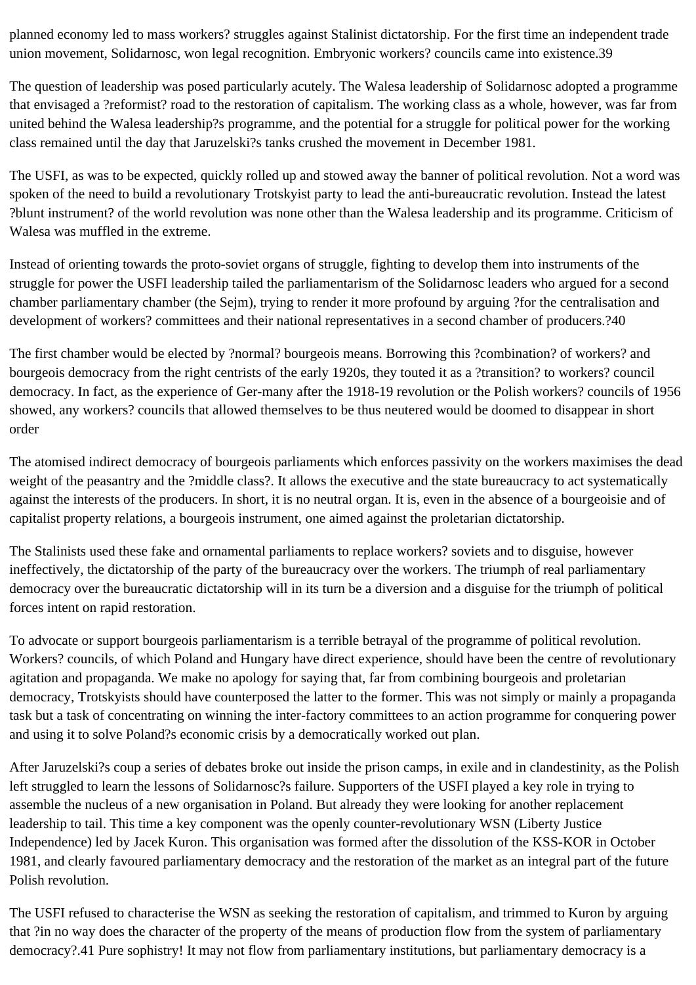planned economy led to mass workers? struggles against Stalinist dictatorship. For the first time an independent trade union movement, Solidarnosc, won legal recognition. Embryonic workers? councils came into existence.39

The question of leadership was posed particularly acutely. The Walesa leadership of Solidarnosc adopted a programme that envisaged a ?reformist? road to the restoration of capitalism. The working class as a whole, however, was far from united behind the Walesa leadership?s programme, and the potential for a struggle for political power for the working class remained until the day that Jaruzelski?s tanks crushed the movement in December 1981.

The USFI, as was to be expected, quickly rolled up and stowed away the banner of political revolution. Not a word was spoken of the need to build a revolutionary Trotskyist party to lead the anti-bureaucratic revolution. Instead the latest ?blunt instrument? of the world revolution was none other than the Walesa leadership and its programme. Criticism of Walesa was muffled in the extreme.

Instead of orienting towards the proto-soviet organs of struggle, fighting to develop them into instruments of the struggle for power the USFI leadership tailed the parliamentarism of the Solidarnosc leaders who argued for a second chamber parliamentary chamber (the Sejm), trying to render it more profound by arguing ?for the centralisation and development of workers? committees and their national representatives in a second chamber of producers.?40

The first chamber would be elected by ?normal? bourgeois means. Borrowing this ?combination? of workers? and bourgeois democracy from the right centrists of the early 1920s, they touted it as a ?transition? to workers? council democracy. In fact, as the experience of Ger-many after the 1918-19 revolution or the Polish workers? councils of 1956 showed, any workers? councils that allowed themselves to be thus neutered would be doomed to disappear in short order

The atomised indirect democracy of bourgeois parliaments which enforces passivity on the workers maximises the dead weight of the peasantry and the ?middle class?. It allows the executive and the state bureaucracy to act systematically against the interests of the producers. In short, it is no neutral organ. It is, even in the absence of a bourgeoisie and of capitalist property relations, a bourgeois instrument, one aimed against the proletarian dictatorship.

The Stalinists used these fake and ornamental parliaments to replace workers? soviets and to disguise, however ineffectively, the dictatorship of the party of the bureaucracy over the workers. The triumph of real parliamentary democracy over the bureaucratic dictatorship will in its turn be a diversion and a disguise for the triumph of political forces intent on rapid restoration.

To advocate or support bourgeois parliamentarism is a terrible betrayal of the programme of political revolution. Workers? councils, of which Poland and Hungary have direct experience, should have been the centre of revolutionary agitation and propaganda. We make no apology for saying that, far from combining bourgeois and proletarian democracy, Trotskyists should have counterposed the latter to the former. This was not simply or mainly a propaganda task but a task of concentrating on winning the inter-factory committees to an action programme for conquering power and using it to solve Poland?s economic crisis by a democratically worked out plan.

After Jaruzelski?s coup a series of debates broke out inside the prison camps, in exile and in clandestinity, as the Polish left struggled to learn the lessons of Solidarnosc?s failure. Supporters of the USFI played a key role in trying to assemble the nucleus of a new organisation in Poland. But already they were looking for another replacement leadership to tail. This time a key component was the openly counter-revolutionary WSN (Liberty Justice Independence) led by Jacek Kuron. This organisation was formed after the dissolution of the KSS-KOR in October 1981, and clearly favoured parliamentary democracy and the restoration of the market as an integral part of the future Polish revolution.

The USFI refused to characterise the WSN as seeking the restoration of capitalism, and trimmed to Kuron by arguing that ?in no way does the character of the property of the means of production flow from the system of parliamentary democracy?.41 Pure sophistry! It may not flow from parliamentary institutions, but parliamentary democracy is a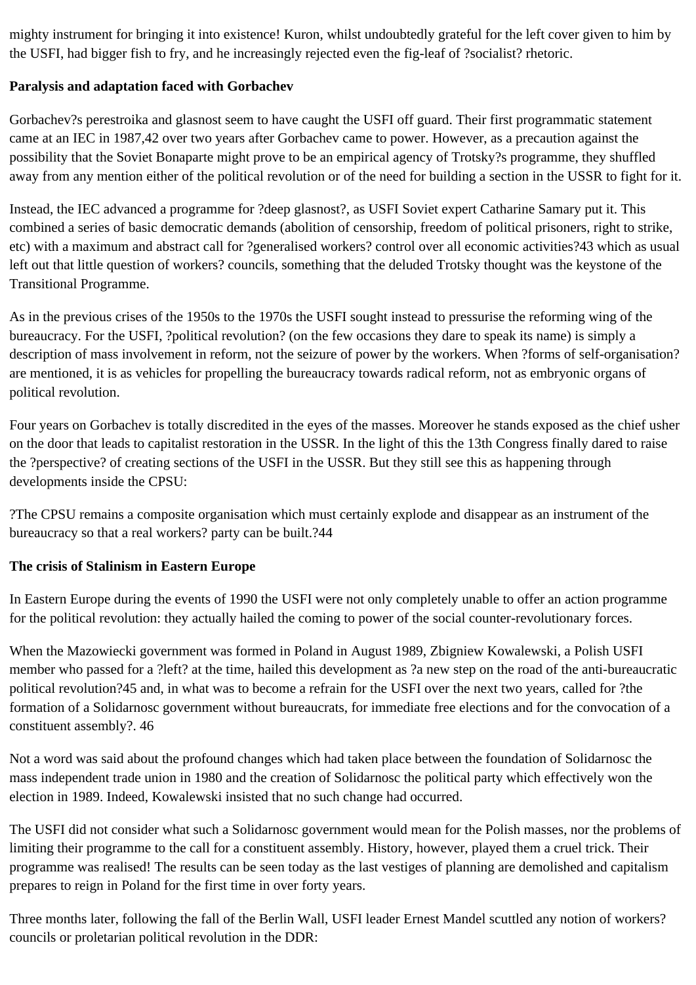mighty instrument for bringing it into existence! Kuron, whilst undoubtedly grateful for the left cover given to him by the USFI, had bigger fish to fry, and he increasingly rejected even the fig-leaf of ?socialist? rhetoric.

## **Paralysis and adaptation faced with Gorbachev**

Gorbachev?s perestroika and glasnost seem to have caught the USFI off guard. Their first programmatic statement came at an IEC in 1987,42 over two years after Gorbachev came to power. However, as a precaution against the possibility that the Soviet Bonaparte might prove to be an empirical agency of Trotsky?s programme, they shuffled away from any mention either of the political revolution or of the need for building a section in the USSR to fight for it.

Instead, the IEC advanced a programme for ?deep glasnost?, as USFI Soviet expert Catharine Samary put it. This combined a series of basic democratic demands (abolition of censorship, freedom of political prisoners, right to strike, etc) with a maximum and abstract call for ?generalised workers? control over all economic activities?43 which as usual left out that little question of workers? councils, something that the deluded Trotsky thought was the keystone of the Transitional Programme.

As in the previous crises of the 1950s to the 1970s the USFI sought instead to pressurise the reforming wing of the bureaucracy. For the USFI, ?political revolution? (on the few occasions they dare to speak its name) is simply a description of mass involvement in reform, not the seizure of power by the workers. When ?forms of self-organisation? are mentioned, it is as vehicles for propelling the bureaucracy towards radical reform, not as embryonic organs of political revolution.

Four years on Gorbachev is totally discredited in the eyes of the masses. Moreover he stands exposed as the chief usher on the door that leads to capitalist restoration in the USSR. In the light of this the 13th Congress finally dared to raise the ?perspective? of creating sections of the USFI in the USSR. But they still see this as happening through developments inside the CPSU:

?The CPSU remains a composite organisation which must certainly explode and disappear as an instrument of the bureaucracy so that a real workers? party can be built.?44

# **The crisis of Stalinism in Eastern Europe**

In Eastern Europe during the events of 1990 the USFI were not only completely unable to offer an action programme for the political revolution: they actually hailed the coming to power of the social counter-revolutionary forces.

When the Mazowiecki government was formed in Poland in August 1989, Zbigniew Kowalewski, a Polish USFI member who passed for a ?left? at the time, hailed this development as ?a new step on the road of the anti-bureaucratic political revolution?45 and, in what was to become a refrain for the USFI over the next two years, called for ?the formation of a Solidarnosc government without bureaucrats, for immediate free elections and for the convocation of a constituent assembly?. 46

Not a word was said about the profound changes which had taken place between the foundation of Solidarnosc the mass independent trade union in 1980 and the creation of Solidarnosc the political party which effectively won the election in 1989. Indeed, Kowalewski insisted that no such change had occurred.

The USFI did not consider what such a Solidarnosc government would mean for the Polish masses, nor the problems of limiting their programme to the call for a constituent assembly. History, however, played them a cruel trick. Their programme was realised! The results can be seen today as the last vestiges of planning are demolished and capitalism prepares to reign in Poland for the first time in over forty years.

Three months later, following the fall of the Berlin Wall, USFI leader Ernest Mandel scuttled any notion of workers? councils or proletarian political revolution in the DDR: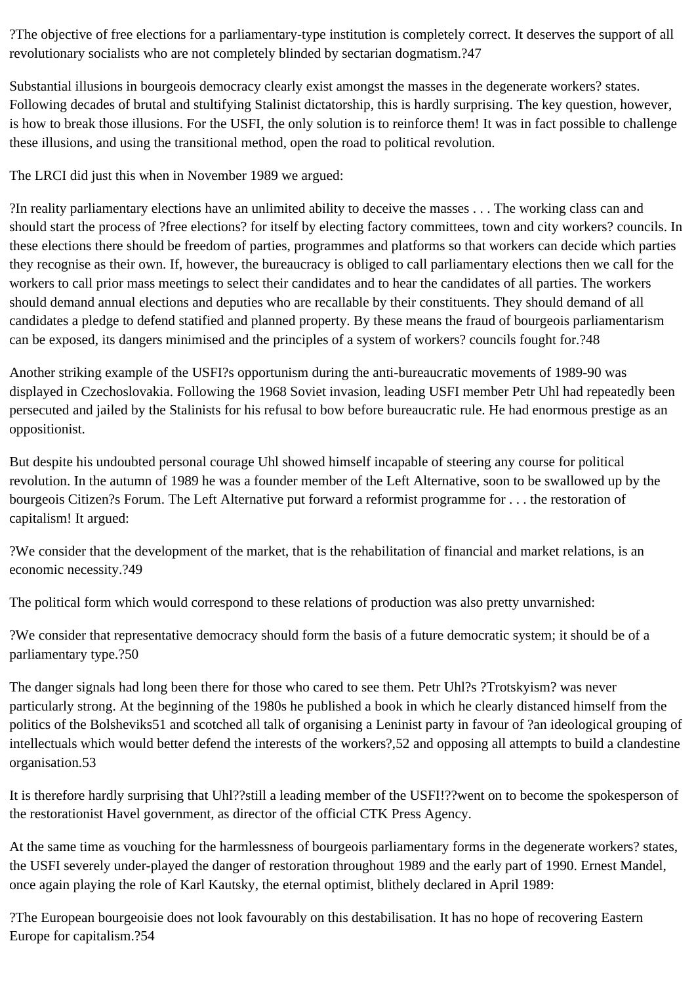?The objective of free elections for a parliamentary-type institution is completely correct. It deserves the support of all revolutionary socialists who are not completely blinded by sectarian dogmatism.?47

Substantial illusions in bourgeois democracy clearly exist amongst the masses in the degenerate workers? states. Following decades of brutal and stultifying Stalinist dictatorship, this is hardly surprising. The key question, however, is how to break those illusions. For the USFI, the only solution is to reinforce them! It was in fact possible to challenge these illusions, and using the transitional method, open the road to political revolution.

The LRCI did just this when in November 1989 we argued:

?In reality parliamentary elections have an unlimited ability to deceive the masses . . . The working class can and should start the process of ?free elections? for itself by electing factory committees, town and city workers? councils. In these elections there should be freedom of parties, programmes and platforms so that workers can decide which parties they recognise as their own. If, however, the bureaucracy is obliged to call parliamentary elections then we call for the workers to call prior mass meetings to select their candidates and to hear the candidates of all parties. The workers should demand annual elections and deputies who are recallable by their constituents. They should demand of all candidates a pledge to defend statified and planned property. By these means the fraud of bourgeois parliamentarism can be exposed, its dangers minimised and the principles of a system of workers? councils fought for.?48

Another striking example of the USFI?s opportunism during the anti-bureaucratic movements of 1989-90 was displayed in Czechoslovakia. Following the 1968 Soviet invasion, leading USFI member Petr Uhl had repeatedly been persecuted and jailed by the Stalinists for his refusal to bow before bureaucratic rule. He had enormous prestige as an oppositionist.

But despite his undoubted personal courage Uhl showed himself incapable of steering any course for political revolution. In the autumn of 1989 he was a founder member of the Left Alternative, soon to be swallowed up by the bourgeois Citizen?s Forum. The Left Alternative put forward a reformist programme for . . . the restoration of capitalism! It argued:

?We consider that the development of the market, that is the rehabilitation of financial and market relations, is an economic necessity.?49

The political form which would correspond to these relations of production was also pretty unvarnished:

?We consider that representative democracy should form the basis of a future democratic system; it should be of a parliamentary type.?50

The danger signals had long been there for those who cared to see them. Petr Uhl?s ?Trotskyism? was never particularly strong. At the beginning of the 1980s he published a book in which he clearly distanced himself from the politics of the Bolsheviks51 and scotched all talk of organising a Leninist party in favour of ?an ideological grouping of intellectuals which would better defend the interests of the workers?,52 and opposing all attempts to build a clandestine organisation.53

It is therefore hardly surprising that Uhl??still a leading member of the USFI!??went on to become the spokesperson of the restorationist Havel government, as director of the official CTK Press Agency.

At the same time as vouching for the harmlessness of bourgeois parliamentary forms in the degenerate workers? states, the USFI severely under-played the danger of restoration throughout 1989 and the early part of 1990. Ernest Mandel, once again playing the role of Karl Kautsky, the eternal optimist, blithely declared in April 1989:

?The European bourgeoisie does not look favourably on this destabilisation. It has no hope of recovering Eastern Europe for capitalism.?54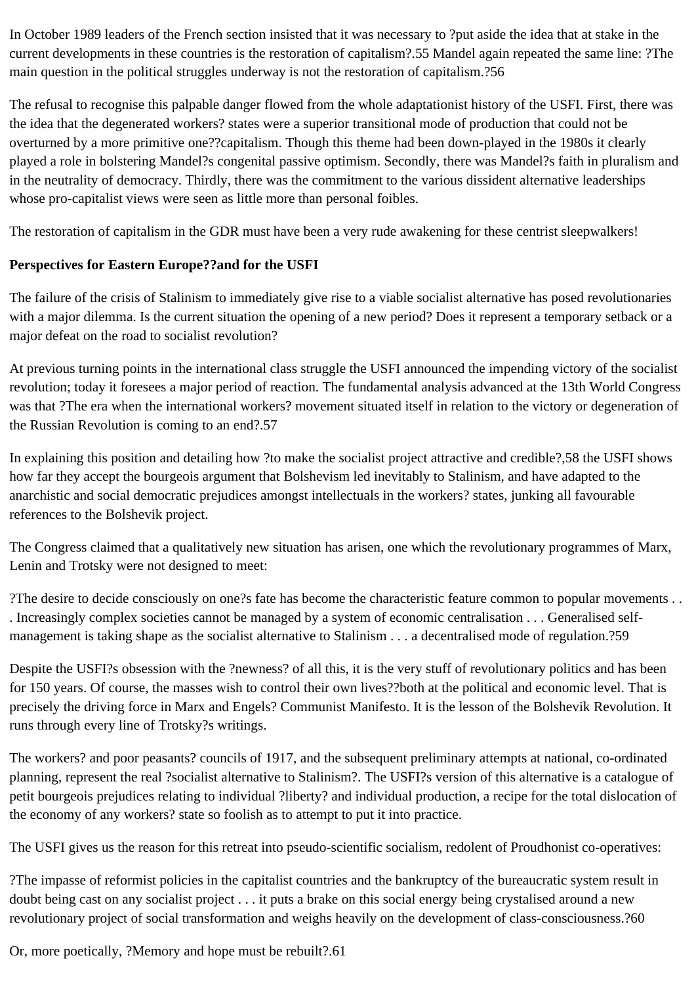In October 1989 leaders of the French section insisted that it was necessary to ?put aside the idea that at stake in the current developments in these countries is the restoration of capitalism?.55 Mandel again repeated the same line: ?The main question in the political struggles underway is not the restoration of capitalism.?56

The refusal to recognise this palpable danger flowed from the whole adaptationist history of the USFI. First, there was the idea that the degenerated workers? states were a superior transitional mode of production that could not be overturned by a more primitive one??capitalism. Though this theme had been down-played in the 1980s it clearly played a role in bolstering Mandel?s congenital passive optimism. Secondly, there was Mandel?s faith in pluralism and in the neutrality of democracy. Thirdly, there was the commitment to the various dissident alternative leaderships whose pro-capitalist views were seen as little more than personal foibles.

The restoration of capitalism in the GDR must have been a very rude awakening for these centrist sleepwalkers!

## **Perspectives for Eastern Europe??and for the USFI**

The failure of the crisis of Stalinism to immediately give rise to a viable socialist alternative has posed revolutionaries with a major dilemma. Is the current situation the opening of a new period? Does it represent a temporary setback or a major defeat on the road to socialist revolution?

At previous turning points in the international class struggle the USFI announced the impending victory of the socialist revolution; today it foresees a major period of reaction. The fundamental analysis advanced at the 13th World Congress was that ?The era when the international workers? movement situated itself in relation to the victory or degeneration of the Russian Revolution is coming to an end?.57

In explaining this position and detailing how ?to make the socialist project attractive and credible?,58 the USFI shows how far they accept the bourgeois argument that Bolshevism led inevitably to Stalinism, and have adapted to the anarchistic and social democratic prejudices amongst intellectuals in the workers? states, junking all favourable references to the Bolshevik project.

The Congress claimed that a qualitatively new situation has arisen, one which the revolutionary programmes of Marx, Lenin and Trotsky were not designed to meet:

?The desire to decide consciously on one?s fate has become the characteristic feature common to popular movements . . . Increasingly complex societies cannot be managed by a system of economic centralisation . . . Generalised selfmanagement is taking shape as the socialist alternative to Stalinism . . . a decentralised mode of regulation.?59

Despite the USFI?s obsession with the ?newness? of all this, it is the very stuff of revolutionary politics and has been for 150 years. Of course, the masses wish to control their own lives??both at the political and economic level. That is precisely the driving force in Marx and Engels? Communist Manifesto. It is the lesson of the Bolshevik Revolution. It runs through every line of Trotsky?s writings.

The workers? and poor peasants? councils of 1917, and the subsequent preliminary attempts at national, co-ordinated planning, represent the real ?socialist alternative to Stalinism?. The USFI?s version of this alternative is a catalogue of petit bourgeois prejudices relating to individual ?liberty? and individual production, a recipe for the total dislocation of the economy of any workers? state so foolish as to attempt to put it into practice.

The USFI gives us the reason for this retreat into pseudo-scientific socialism, redolent of Proudhonist co-operatives:

?The impasse of reformist policies in the capitalist countries and the bankruptcy of the bureaucratic system result in doubt being cast on any socialist project . . . it puts a brake on this social energy being crystalised around a new revolutionary project of social transformation and weighs heavily on the development of class-consciousness.?60

Or, more poetically, ?Memory and hope must be rebuilt?.61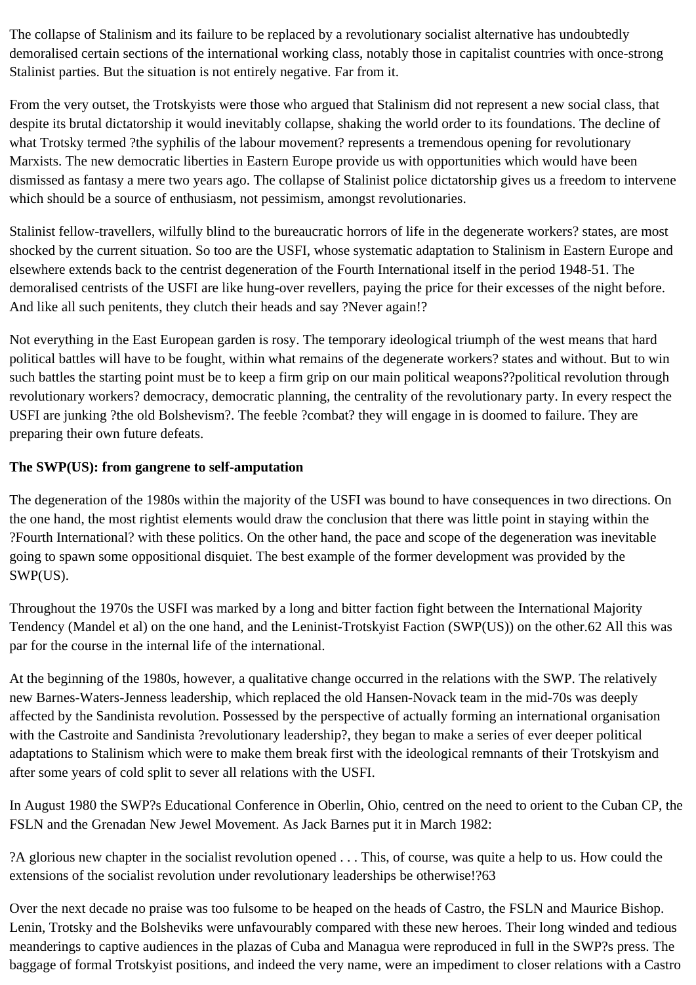The collapse of Stalinism and its failure to be replaced by a revolutionary socialist alternative has undoubtedly demoralised certain sections of the international working class, notably those in capitalist countries with once-strong Stalinist parties. But the situation is not entirely negative. Far from it.

From the very outset, the Trotskyists were those who argued that Stalinism did not represent a new social class, that despite its brutal dictatorship it would inevitably collapse, shaking the world order to its foundations. The decline of what Trotsky termed ?the syphilis of the labour movement? represents a tremendous opening for revolutionary Marxists. The new democratic liberties in Eastern Europe provide us with opportunities which would have been dismissed as fantasy a mere two years ago. The collapse of Stalinist police dictatorship gives us a freedom to intervene which should be a source of enthusiasm, not pessimism, amongst revolutionaries.

Stalinist fellow-travellers, wilfully blind to the bureaucratic horrors of life in the degenerate workers? states, are most shocked by the current situation. So too are the USFI, whose systematic adaptation to Stalinism in Eastern Europe and elsewhere extends back to the centrist degeneration of the Fourth International itself in the period 1948-51. The demoralised centrists of the USFI are like hung-over revellers, paying the price for their excesses of the night before. And like all such penitents, they clutch their heads and say ?Never again!?

Not everything in the East European garden is rosy. The temporary ideological triumph of the west means that hard political battles will have to be fought, within what remains of the degenerate workers? states and without. But to win such battles the starting point must be to keep a firm grip on our main political weapons??political revolution through revolutionary workers? democracy, democratic planning, the centrality of the revolutionary party. In every respect the USFI are junking ?the old Bolshevism?. The feeble ?combat? they will engage in is doomed to failure. They are preparing their own future defeats.

## **The SWP(US): from gangrene to self-amputation**

The degeneration of the 1980s within the majority of the USFI was bound to have consequences in two directions. On the one hand, the most rightist elements would draw the conclusion that there was little point in staying within the ?Fourth International? with these politics. On the other hand, the pace and scope of the degeneration was inevitable going to spawn some oppositional disquiet. The best example of the former development was provided by the SWP(US).

Throughout the 1970s the USFI was marked by a long and bitter faction fight between the International Majority Tendency (Mandel et al) on the one hand, and the Leninist-Trotskyist Faction (SWP(US)) on the other.62 All this was par for the course in the internal life of the international.

At the beginning of the 1980s, however, a qualitative change occurred in the relations with the SWP. The relatively new Barnes-Waters-Jenness leadership, which replaced the old Hansen-Novack team in the mid-70s was deeply affected by the Sandinista revolution. Possessed by the perspective of actually forming an international organisation with the Castroite and Sandinista ?revolutionary leadership?, they began to make a series of ever deeper political adaptations to Stalinism which were to make them break first with the ideological remnants of their Trotskyism and after some years of cold split to sever all relations with the USFI.

In August 1980 the SWP?s Educational Conference in Oberlin, Ohio, centred on the need to orient to the Cuban CP, the FSLN and the Grenadan New Jewel Movement. As Jack Barnes put it in March 1982:

?A glorious new chapter in the socialist revolution opened . . . This, of course, was quite a help to us. How could the extensions of the socialist revolution under revolutionary leaderships be otherwise!?63

Over the next decade no praise was too fulsome to be heaped on the heads of Castro, the FSLN and Maurice Bishop. Lenin, Trotsky and the Bolsheviks were unfavourably compared with these new heroes. Their long winded and tedious meanderings to captive audiences in the plazas of Cuba and Managua were reproduced in full in the SWP?s press. The baggage of formal Trotskyist positions, and indeed the very name, were an impediment to closer relations with a Castro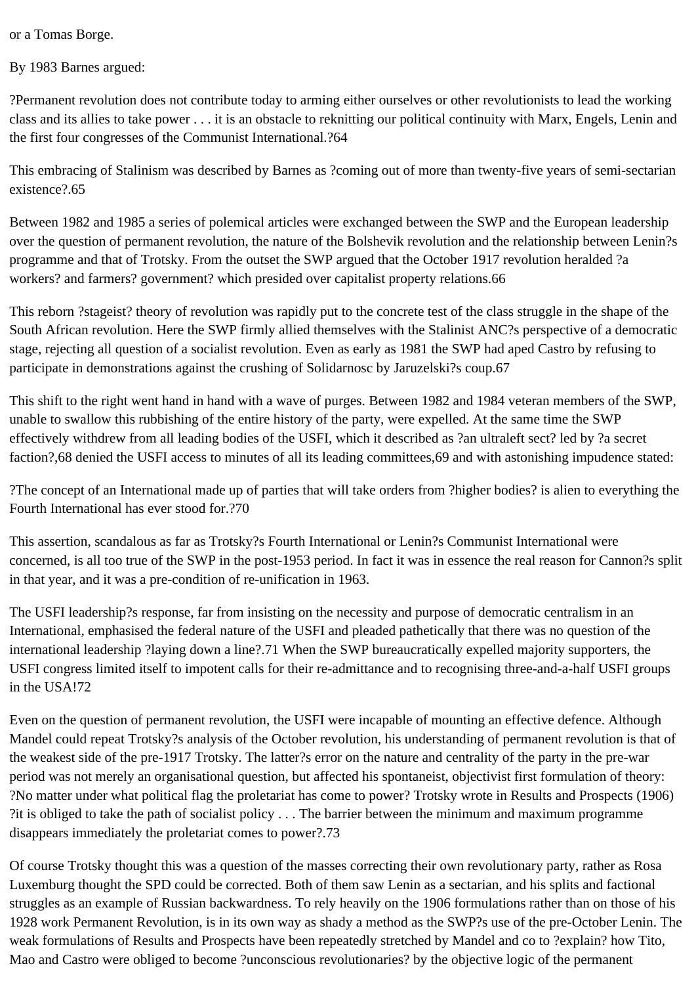or a Tomas Borge.

By 1983 Barnes argued:

?Permanent revolution does not contribute today to arming either ourselves or other revolutionists to lead the working class and its allies to take power . . . it is an obstacle to reknitting our political continuity with Marx, Engels, Lenin and the first four congresses of the Communist International.?64

This embracing of Stalinism was described by Barnes as ?coming out of more than twenty-five years of semi-sectarian existence?.65

Between 1982 and 1985 a series of polemical articles were exchanged between the SWP and the European leadership over the question of permanent revolution, the nature of the Bolshevik revolution and the relationship between Lenin?s programme and that of Trotsky. From the outset the SWP argued that the October 1917 revolution heralded ?a workers? and farmers? government? which presided over capitalist property relations.66

This reborn ?stageist? theory of revolution was rapidly put to the concrete test of the class struggle in the shape of the South African revolution. Here the SWP firmly allied themselves with the Stalinist ANC?s perspective of a democratic stage, rejecting all question of a socialist revolution. Even as early as 1981 the SWP had aped Castro by refusing to participate in demonstrations against the crushing of Solidarnosc by Jaruzelski?s coup.67

This shift to the right went hand in hand with a wave of purges. Between 1982 and 1984 veteran members of the SWP, unable to swallow this rubbishing of the entire history of the party, were expelled. At the same time the SWP effectively withdrew from all leading bodies of the USFI, which it described as ?an ultraleft sect? led by ?a secret faction?,68 denied the USFI access to minutes of all its leading committees,69 and with astonishing impudence stated:

?The concept of an International made up of parties that will take orders from ?higher bodies? is alien to everything the Fourth International has ever stood for.?70

This assertion, scandalous as far as Trotsky?s Fourth International or Lenin?s Communist International were concerned, is all too true of the SWP in the post-1953 period. In fact it was in essence the real reason for Cannon?s split in that year, and it was a pre-condition of re-unification in 1963.

The USFI leadership?s response, far from insisting on the necessity and purpose of democratic centralism in an International, emphasised the federal nature of the USFI and pleaded pathetically that there was no question of the international leadership ?laying down a line?.71 When the SWP bureaucratically expelled majority supporters, the USFI congress limited itself to impotent calls for their re-admittance and to recognising three-and-a-half USFI groups in the USA!72

Even on the question of permanent revolution, the USFI were incapable of mounting an effective defence. Although Mandel could repeat Trotsky?s analysis of the October revolution, his understanding of permanent revolution is that of the weakest side of the pre-1917 Trotsky. The latter?s error on the nature and centrality of the party in the pre-war period was not merely an organisational question, but affected his spontaneist, objectivist first formulation of theory: ?No matter under what political flag the proletariat has come to power? Trotsky wrote in Results and Prospects (1906) ?it is obliged to take the path of socialist policy . . . The barrier between the minimum and maximum programme disappears immediately the proletariat comes to power?.73

Of course Trotsky thought this was a question of the masses correcting their own revolutionary party, rather as Rosa Luxemburg thought the SPD could be corrected. Both of them saw Lenin as a sectarian, and his splits and factional struggles as an example of Russian backwardness. To rely heavily on the 1906 formulations rather than on those of his 1928 work Permanent Revolution, is in its own way as shady a method as the SWP?s use of the pre-October Lenin. The weak formulations of Results and Prospects have been repeatedly stretched by Mandel and co to ?explain? how Tito, Mao and Castro were obliged to become ?unconscious revolutionaries? by the objective logic of the permanent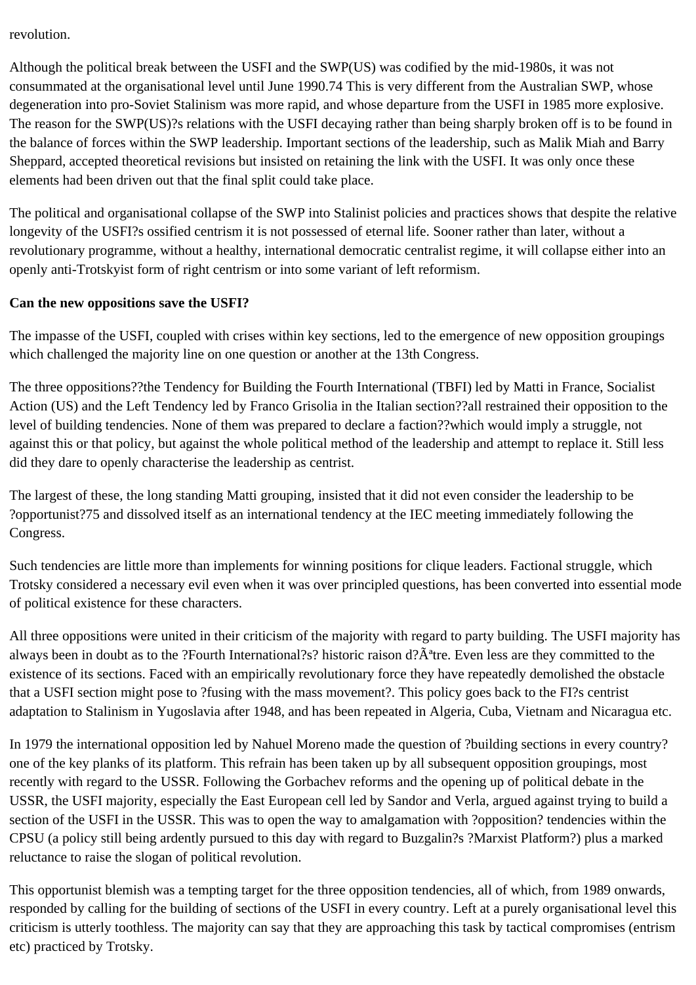revolution.

Although the political break between the USFI and the SWP(US) was codified by the mid-1980s, it was not consummated at the organisational level until June 1990.74 This is very different from the Australian SWP, whose degeneration into pro-Soviet Stalinism was more rapid, and whose departure from the USFI in 1985 more explosive. The reason for the SWP(US)?s relations with the USFI decaying rather than being sharply broken off is to be found in the balance of forces within the SWP leadership. Important sections of the leadership, such as Malik Miah and Barry Sheppard, accepted theoretical revisions but insisted on retaining the link with the USFI. It was only once these elements had been driven out that the final split could take place.

The political and organisational collapse of the SWP into Stalinist policies and practices shows that despite the relative longevity of the USFI?s ossified centrism it is not possessed of eternal life. Sooner rather than later, without a revolutionary programme, without a healthy, international democratic centralist regime, it will collapse either into an openly anti-Trotskyist form of right centrism or into some variant of left reformism.

### **Can the new oppositions save the USFI?**

The impasse of the USFI, coupled with crises within key sections, led to the emergence of new opposition groupings which challenged the majority line on one question or another at the 13th Congress.

The three oppositions??the Tendency for Building the Fourth International (TBFI) led by Matti in France, Socialist Action (US) and the Left Tendency led by Franco Grisolia in the Italian section??all restrained their opposition to the level of building tendencies. None of them was prepared to declare a faction??which would imply a struggle, not against this or that policy, but against the whole political method of the leadership and attempt to replace it. Still less did they dare to openly characterise the leadership as centrist.

The largest of these, the long standing Matti grouping, insisted that it did not even consider the leadership to be ?opportunist?75 and dissolved itself as an international tendency at the IEC meeting immediately following the Congress.

Such tendencies are little more than implements for winning positions for clique leaders. Factional struggle, which Trotsky considered a necessary evil even when it was over principled questions, has been converted into essential mode of political existence for these characters.

All three oppositions were united in their criticism of the majority with regard to party building. The USFI majority has always been in doubt as to the ?Fourth International?s? historic raison d? $A^4$ tre. Even less are they committed to the existence of its sections. Faced with an empirically revolutionary force they have repeatedly demolished the obstacle that a USFI section might pose to ?fusing with the mass movement?. This policy goes back to the FI?s centrist adaptation to Stalinism in Yugoslavia after 1948, and has been repeated in Algeria, Cuba, Vietnam and Nicaragua etc.

In 1979 the international opposition led by Nahuel Moreno made the question of ?building sections in every country? one of the key planks of its platform. This refrain has been taken up by all subsequent opposition groupings, most recently with regard to the USSR. Following the Gorbachev reforms and the opening up of political debate in the USSR, the USFI majority, especially the East European cell led by Sandor and Verla, argued against trying to build a section of the USFI in the USSR. This was to open the way to amalgamation with ?opposition? tendencies within the CPSU (a policy still being ardently pursued to this day with regard to Buzgalin?s ?Marxist Platform?) plus a marked reluctance to raise the slogan of political revolution.

This opportunist blemish was a tempting target for the three opposition tendencies, all of which, from 1989 onwards, responded by calling for the building of sections of the USFI in every country. Left at a purely organisational level this criticism is utterly toothless. The majority can say that they are approaching this task by tactical compromises (entrism etc) practiced by Trotsky.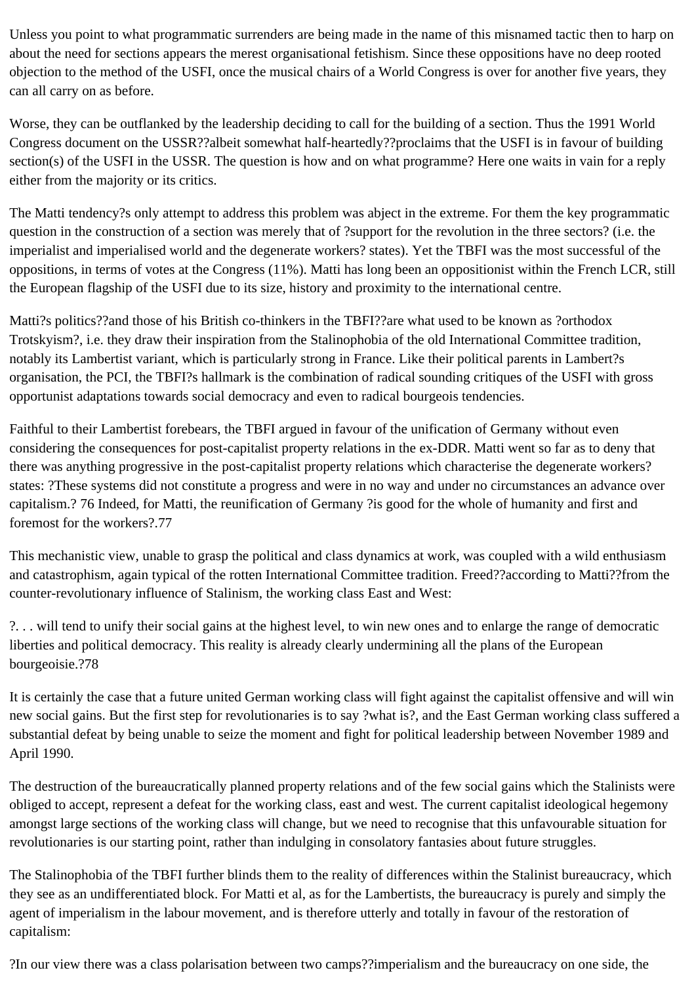Unless you point to what programmatic surrenders are being made in the name of this misnamed tactic then to harp on about the need for sections appears the merest organisational fetishism. Since these oppositions have no deep rooted objection to the method of the USFI, once the musical chairs of a World Congress is over for another five years, they can all carry on as before.

Worse, they can be outflanked by the leadership deciding to call for the building of a section. Thus the 1991 World Congress document on the USSR??albeit somewhat half-heartedly??proclaims that the USFI is in favour of building section(s) of the USFI in the USSR. The question is how and on what programme? Here one waits in vain for a reply either from the majority or its critics.

The Matti tendency?s only attempt to address this problem was abject in the extreme. For them the key programmatic question in the construction of a section was merely that of ?support for the revolution in the three sectors? (i.e. the imperialist and imperialised world and the degenerate workers? states). Yet the TBFI was the most successful of the oppositions, in terms of votes at the Congress (11%). Matti has long been an oppositionist within the French LCR, still the European flagship of the USFI due to its size, history and proximity to the international centre.

Matti?s politics??and those of his British co-thinkers in the TBFI??are what used to be known as ?orthodox Trotskyism?, i.e. they draw their inspiration from the Stalinophobia of the old International Committee tradition, notably its Lambertist variant, which is particularly strong in France. Like their political parents in Lambert?s organisation, the PCI, the TBFI?s hallmark is the combination of radical sounding critiques of the USFI with gross opportunist adaptations towards social democracy and even to radical bourgeois tendencies.

Faithful to their Lambertist forebears, the TBFI argued in favour of the unification of Germany without even considering the consequences for post-capitalist property relations in the ex-DDR. Matti went so far as to deny that there was anything progressive in the post-capitalist property relations which characterise the degenerate workers? states: ?These systems did not constitute a progress and were in no way and under no circumstances an advance over capitalism.? 76 Indeed, for Matti, the reunification of Germany ?is good for the whole of humanity and first and foremost for the workers?.77

This mechanistic view, unable to grasp the political and class dynamics at work, was coupled with a wild enthusiasm and catastrophism, again typical of the rotten International Committee tradition. Freed??according to Matti??from the counter-revolutionary influence of Stalinism, the working class East and West:

?. . . will tend to unify their social gains at the highest level, to win new ones and to enlarge the range of democratic liberties and political democracy. This reality is already clearly undermining all the plans of the European bourgeoisie.?78

It is certainly the case that a future united German working class will fight against the capitalist offensive and will win new social gains. But the first step for revolutionaries is to say ?what is?, and the East German working class suffered a substantial defeat by being unable to seize the moment and fight for political leadership between November 1989 and April 1990.

The destruction of the bureaucratically planned property relations and of the few social gains which the Stalinists were obliged to accept, represent a defeat for the working class, east and west. The current capitalist ideological hegemony amongst large sections of the working class will change, but we need to recognise that this unfavourable situation for revolutionaries is our starting point, rather than indulging in consolatory fantasies about future struggles.

The Stalinophobia of the TBFI further blinds them to the reality of differences within the Stalinist bureaucracy, which they see as an undifferentiated block. For Matti et al, as for the Lambertists, the bureaucracy is purely and simply the agent of imperialism in the labour movement, and is therefore utterly and totally in favour of the restoration of capitalism:

?In our view there was a class polarisation between two camps??imperialism and the bureaucracy on one side, the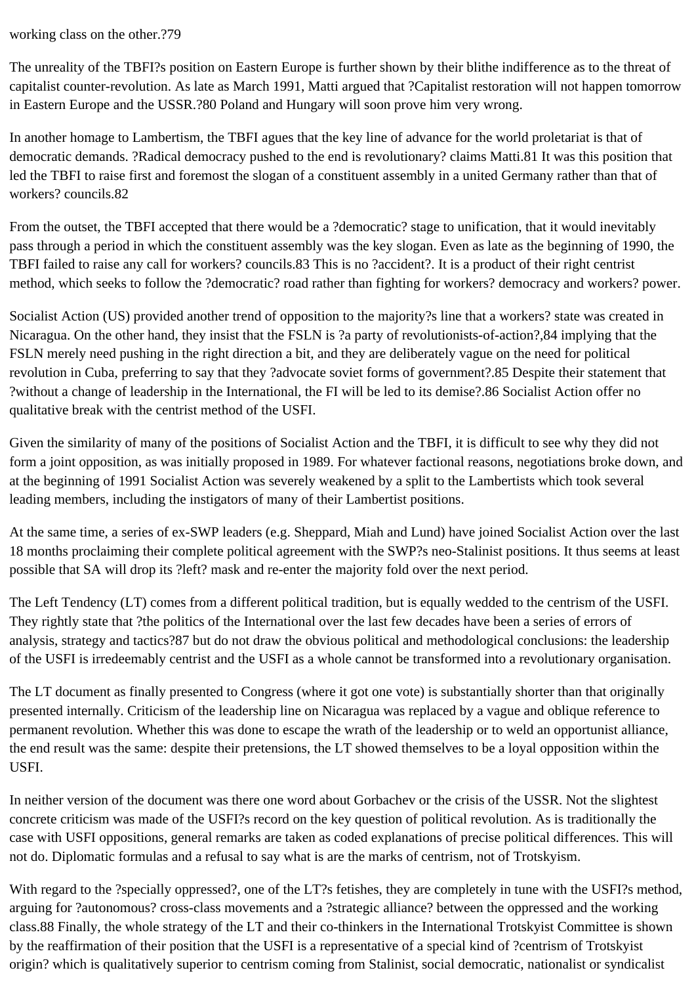working class on the other.?79

The unreality of the TBFI?s position on Eastern Europe is further shown by their blithe indifference as to the threat of capitalist counter-revolution. As late as March 1991, Matti argued that ?Capitalist restoration will not happen tomorrow in Eastern Europe and the USSR.?80 Poland and Hungary will soon prove him very wrong.

In another homage to Lambertism, the TBFI agues that the key line of advance for the world proletariat is that of democratic demands. ?Radical democracy pushed to the end is revolutionary? claims Matti.81 It was this position that led the TBFI to raise first and foremost the slogan of a constituent assembly in a united Germany rather than that of workers? councils.82

From the outset, the TBFI accepted that there would be a ?democratic? stage to unification, that it would inevitably pass through a period in which the constituent assembly was the key slogan. Even as late as the beginning of 1990, the TBFI failed to raise any call for workers? councils.83 This is no ?accident?. It is a product of their right centrist method, which seeks to follow the ?democratic? road rather than fighting for workers? democracy and workers? power.

Socialist Action (US) provided another trend of opposition to the majority?s line that a workers? state was created in Nicaragua. On the other hand, they insist that the FSLN is ?a party of revolutionists-of-action?,84 implying that the FSLN merely need pushing in the right direction a bit, and they are deliberately vague on the need for political revolution in Cuba, preferring to say that they ?advocate soviet forms of government?.85 Despite their statement that ?without a change of leadership in the International, the FI will be led to its demise?.86 Socialist Action offer no qualitative break with the centrist method of the USFI.

Given the similarity of many of the positions of Socialist Action and the TBFI, it is difficult to see why they did not form a joint opposition, as was initially proposed in 1989. For whatever factional reasons, negotiations broke down, and at the beginning of 1991 Socialist Action was severely weakened by a split to the Lambertists which took several leading members, including the instigators of many of their Lambertist positions.

At the same time, a series of ex-SWP leaders (e.g. Sheppard, Miah and Lund) have joined Socialist Action over the last 18 months proclaiming their complete political agreement with the SWP?s neo-Stalinist positions. It thus seems at least possible that SA will drop its ?left? mask and re-enter the majority fold over the next period.

The Left Tendency (LT) comes from a different political tradition, but is equally wedded to the centrism of the USFI. They rightly state that ?the politics of the International over the last few decades have been a series of errors of analysis, strategy and tactics?87 but do not draw the obvious political and methodological conclusions: the leadership of the USFI is irredeemably centrist and the USFI as a whole cannot be transformed into a revolutionary organisation.

The LT document as finally presented to Congress (where it got one vote) is substantially shorter than that originally presented internally. Criticism of the leadership line on Nicaragua was replaced by a vague and oblique reference to permanent revolution. Whether this was done to escape the wrath of the leadership or to weld an opportunist alliance, the end result was the same: despite their pretensions, the LT showed themselves to be a loyal opposition within the USFI.

In neither version of the document was there one word about Gorbachev or the crisis of the USSR. Not the slightest concrete criticism was made of the USFI?s record on the key question of political revolution. As is traditionally the case with USFI oppositions, general remarks are taken as coded explanations of precise political differences. This will not do. Diplomatic formulas and a refusal to say what is are the marks of centrism, not of Trotskyism.

With regard to the ?specially oppressed?, one of the LT?s fetishes, they are completely in tune with the USFI?s method, arguing for ?autonomous? cross-class movements and a ?strategic alliance? between the oppressed and the working class.88 Finally, the whole strategy of the LT and their co-thinkers in the International Trotskyist Committee is shown by the reaffirmation of their position that the USFI is a representative of a special kind of ?centrism of Trotskyist origin? which is qualitatively superior to centrism coming from Stalinist, social democratic, nationalist or syndicalist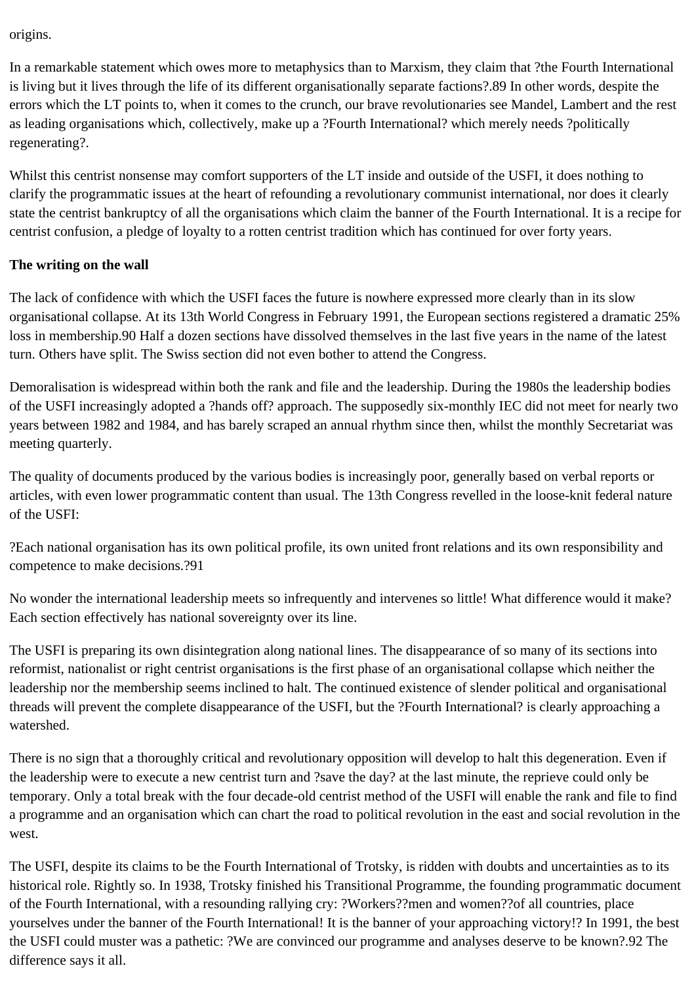origins.

In a remarkable statement which owes more to metaphysics than to Marxism, they claim that ?the Fourth International is living but it lives through the life of its different organisationally separate factions?.89 In other words, despite the errors which the LT points to, when it comes to the crunch, our brave revolutionaries see Mandel, Lambert and the rest as leading organisations which, collectively, make up a ?Fourth International? which merely needs ?politically regenerating?.

Whilst this centrist nonsense may comfort supporters of the LT inside and outside of the USFI, it does nothing to clarify the programmatic issues at the heart of refounding a revolutionary communist international, nor does it clearly state the centrist bankruptcy of all the organisations which claim the banner of the Fourth International. It is a recipe for centrist confusion, a pledge of loyalty to a rotten centrist tradition which has continued for over forty years.

### **The writing on the wall**

The lack of confidence with which the USFI faces the future is nowhere expressed more clearly than in its slow organisational collapse. At its 13th World Congress in February 1991, the European sections registered a dramatic 25% loss in membership.90 Half a dozen sections have dissolved themselves in the last five years in the name of the latest turn. Others have split. The Swiss section did not even bother to attend the Congress.

Demoralisation is widespread within both the rank and file and the leadership. During the 1980s the leadership bodies of the USFI increasingly adopted a ?hands off? approach. The supposedly six-monthly IEC did not meet for nearly two years between 1982 and 1984, and has barely scraped an annual rhythm since then, whilst the monthly Secretariat was meeting quarterly.

The quality of documents produced by the various bodies is increasingly poor, generally based on verbal reports or articles, with even lower programmatic content than usual. The 13th Congress revelled in the loose-knit federal nature of the USFI:

?Each national organisation has its own political profile, its own united front relations and its own responsibility and competence to make decisions.?91

No wonder the international leadership meets so infrequently and intervenes so little! What difference would it make? Each section effectively has national sovereignty over its line.

The USFI is preparing its own disintegration along national lines. The disappearance of so many of its sections into reformist, nationalist or right centrist organisations is the first phase of an organisational collapse which neither the leadership nor the membership seems inclined to halt. The continued existence of slender political and organisational threads will prevent the complete disappearance of the USFI, but the ?Fourth International? is clearly approaching a watershed.

There is no sign that a thoroughly critical and revolutionary opposition will develop to halt this degeneration. Even if the leadership were to execute a new centrist turn and ?save the day? at the last minute, the reprieve could only be temporary. Only a total break with the four decade-old centrist method of the USFI will enable the rank and file to find a programme and an organisation which can chart the road to political revolution in the east and social revolution in the west.

The USFI, despite its claims to be the Fourth International of Trotsky, is ridden with doubts and uncertainties as to its historical role. Rightly so. In 1938, Trotsky finished his Transitional Programme, the founding programmatic document of the Fourth International, with a resounding rallying cry: ?Workers??men and women??of all countries, place yourselves under the banner of the Fourth International! It is the banner of your approaching victory!? In 1991, the best the USFI could muster was a pathetic: ?We are convinced our programme and analyses deserve to be known?.92 The difference says it all.